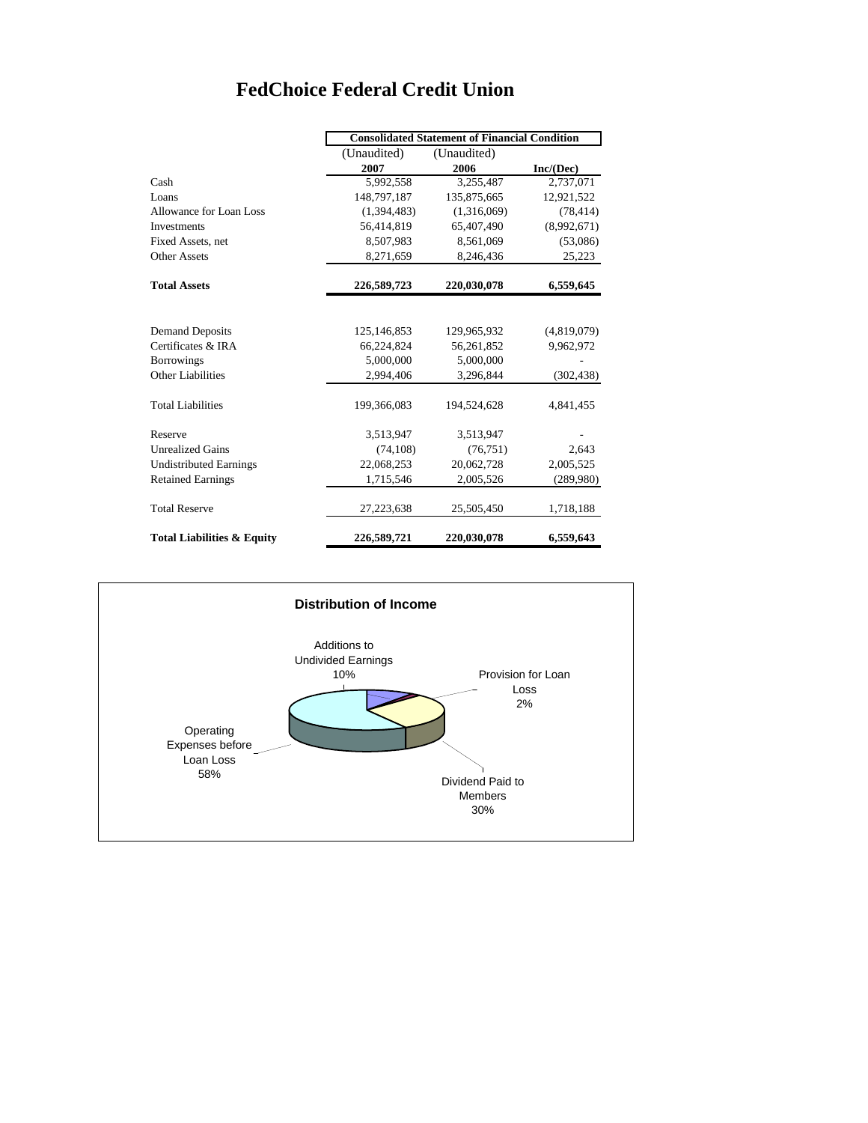## **FedChoice Federal Credit Union**

|                                       | <b>Consolidated Statement of Financial Condition</b> |             |             |
|---------------------------------------|------------------------------------------------------|-------------|-------------|
|                                       | (Unaudited)                                          | (Unaudited) |             |
|                                       | 2007                                                 | 2006        | Inc/(Dec)   |
| Cash                                  | 5,992,558                                            | 3,255,487   | 2,737,071   |
| Loans                                 | 148,797,187                                          | 135,875,665 | 12,921,522  |
| Allowance for Loan Loss               | (1,394,483)                                          | (1,316,069) | (78, 414)   |
| <b>Investments</b>                    | 56,414,819                                           | 65,407,490  | (8,992,671) |
| Fixed Assets, net                     | 8,507,983                                            | 8,561,069   | (53,086)    |
| <b>Other Assets</b>                   | 8,271,659                                            | 8,246,436   | 25,223      |
| <b>Total Assets</b>                   | 226,589,723                                          | 220,030,078 | 6,559,645   |
|                                       |                                                      |             |             |
| <b>Demand Deposits</b>                | 125,146,853                                          | 129,965,932 | (4,819,079) |
| Certificates & IRA                    | 66,224,824                                           | 56,261,852  | 9,962,972   |
| <b>Borrowings</b>                     | 5,000,000                                            | 5,000,000   |             |
| <b>Other Liabilities</b>              | 2,994,406                                            | 3,296,844   | (302, 438)  |
| <b>Total Liabilities</b>              | 199,366,083                                          | 194,524,628 | 4,841,455   |
| Reserve                               | 3,513,947                                            | 3,513,947   |             |
| <b>Unrealized Gains</b>               | (74, 108)                                            | (76, 751)   | 2,643       |
| <b>Undistributed Earnings</b>         | 22,068,253                                           | 20,062,728  | 2,005,525   |
| <b>Retained Earnings</b>              | 1,715,546                                            | 2,005,526   | (289,980)   |
| <b>Total Reserve</b>                  | 27,223,638                                           | 25,505,450  | 1,718,188   |
| <b>Total Liabilities &amp; Equity</b> | 226,589,721                                          | 220,030,078 | 6,559,643   |